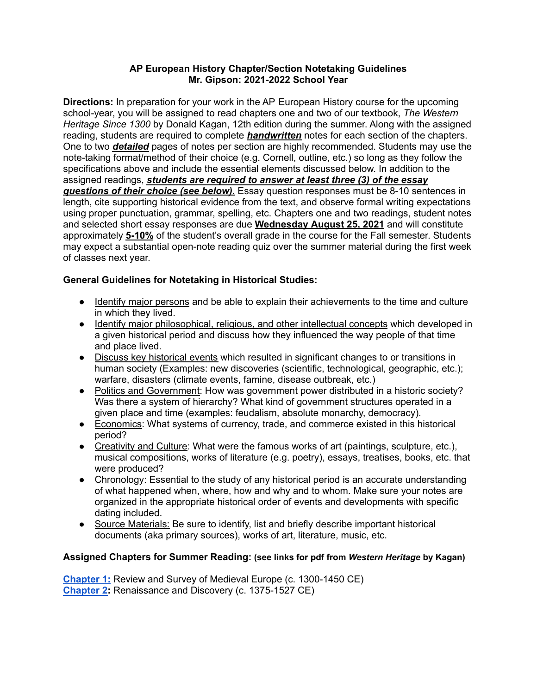## **AP European History Chapter/Section Notetaking Guidelines Mr. Gipson: 2021-2022 School Year**

**Directions:** In preparation for your work in the AP European History course for the upcoming school-year, you will be assigned to read chapters one and two of our textbook, *The Western Heritage Since 1300* by Donald Kagan, 12th edition during the summer. Along with the assigned reading, students are required to complete *handwritten* notes for each section of the chapters. One to two *detailed* pages of notes per section are highly recommended. Students may use the note-taking format/method of their choice (e.g. Cornell, outline, etc.) so long as they follow the specifications above and include the essential elements discussed below. In addition to the assigned readings, *students are required to answer at least three (3) of the essay questions of their choice (see below).* Essay question responses must be 8-10 sentences in length, cite supporting historical evidence from the text, and observe formal writing expectations using proper punctuation, grammar, spelling, etc. Chapters one and two readings, student notes and selected short essay responses are due **Wednesday August 25, 2021** and will constitute approximately **5-10%** of the student's overall grade in the course for the Fall semester. Students may expect a substantial open-note reading quiz over the summer material during the first week of classes next year.

## **General Guidelines for Notetaking in Historical Studies:**

- Identify major persons and be able to explain their achievements to the time and culture in which they lived.
- Identify major philosophical, religious, and other intellectual concepts which developed in a given historical period and discuss how they influenced the way people of that time and place lived.
- Discuss key historical events which resulted in significant changes to or transitions in human society (Examples: new discoveries (scientific, technological, geographic, etc.); warfare, disasters (climate events, famine, disease outbreak, etc.)
- Politics and Government: How was government power distributed in a historic society? Was there a system of hierarchy? What kind of government structures operated in a given place and time (examples: feudalism, absolute monarchy, democracy).
- Economics: What systems of currency, trade, and commerce existed in this historical period?
- Creativity and Culture: What were the famous works of art (paintings, sculpture, etc.), musical compositions, works of literature (e.g. poetry), essays, treatises, books, etc. that were produced?
- Chronology: Essential to the study of any historical period is an accurate understanding of what happened when, where, how and why and to whom. Make sure your notes are organized in the appropriate historical order of events and developments with specific dating included.
- Source Materials: Be sure to identify, list and briefly describe important historical documents (aka primary sources), works of art, literature, music, etc.

## **Assigned Chapters for Summer Reading: (see links for pdf from** *Western Heritage* **by Kagan)**

**[Chapter](https://drive.google.com/file/d/173mXnMy0qoFeiCzZSGI0b1mWT8oH6xTW/view?usp=sharing) 1:** Review and Survey of Medieval Europe (c. 1300-1450 CE) **[Chapter](https://drive.google.com/file/d/17Nv30k_eMSFdEESWJuURmtIjWYM2DQ_T/view?usp=sharing) 2:** Renaissance and Discovery (c. 1375-1527 CE)